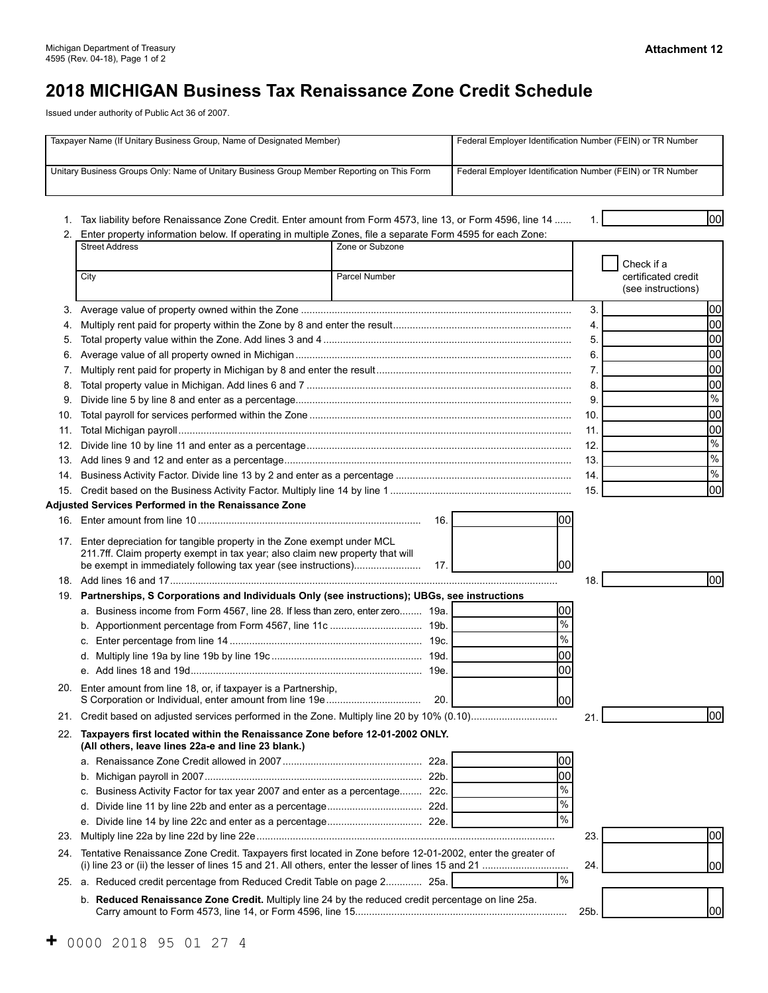# **2018 MICHIGAN Business Tax Renaissance Zone Credit Schedule**

Issued under authority of Public Act 36 of 2007.

| Taxpayer Name (If Unitary Business Group, Name of Designated Member)                       |                                                                                                                                                                                                                               |                 | Federal Employer Identification Number (FEIN) or TR Number |      |                          |
|--------------------------------------------------------------------------------------------|-------------------------------------------------------------------------------------------------------------------------------------------------------------------------------------------------------------------------------|-----------------|------------------------------------------------------------|------|--------------------------|
| Unitary Business Groups Only: Name of Unitary Business Group Member Reporting on This Form |                                                                                                                                                                                                                               |                 | Federal Employer Identification Number (FEIN) or TR Number |      |                          |
|                                                                                            |                                                                                                                                                                                                                               |                 |                                                            |      |                          |
|                                                                                            |                                                                                                                                                                                                                               |                 |                                                            |      | lool                     |
|                                                                                            | 1. Tax liability before Renaissance Zone Credit. Enter amount from Form 4573, line 13, or Form 4596, line 14<br>2. Enter property information below. If operating in multiple Zones, file a separate Form 4595 for each Zone: |                 |                                                            |      |                          |
|                                                                                            | <b>Street Address</b>                                                                                                                                                                                                         | Zone or Subzone |                                                            |      |                          |
|                                                                                            |                                                                                                                                                                                                                               |                 |                                                            |      | Check if a               |
|                                                                                            | City                                                                                                                                                                                                                          | Parcel Number   |                                                            |      | certificated credit      |
|                                                                                            |                                                                                                                                                                                                                               |                 |                                                            |      | (see instructions)       |
| 3.                                                                                         |                                                                                                                                                                                                                               |                 |                                                            | 3.   | 00                       |
| 4.                                                                                         |                                                                                                                                                                                                                               |                 |                                                            | 4.   | 00                       |
| 5.                                                                                         |                                                                                                                                                                                                                               |                 |                                                            | 5.   | 00                       |
| 6.                                                                                         |                                                                                                                                                                                                                               |                 |                                                            | 6.   | 00                       |
| 7.                                                                                         |                                                                                                                                                                                                                               |                 |                                                            | 7.   | 00                       |
| 8.                                                                                         |                                                                                                                                                                                                                               |                 |                                                            | 8.   | 00                       |
| 9.                                                                                         |                                                                                                                                                                                                                               |                 |                                                            | 9.   | $\%$                     |
| 10.                                                                                        |                                                                                                                                                                                                                               |                 |                                                            | 10.  | 00                       |
| 11.                                                                                        |                                                                                                                                                                                                                               |                 |                                                            | 11.  | 00                       |
| 12.                                                                                        |                                                                                                                                                                                                                               |                 |                                                            | 12.  | $\frac{9}{6}$            |
|                                                                                            |                                                                                                                                                                                                                               |                 |                                                            | 13.  | $\frac{9}{6}$            |
| 14.                                                                                        |                                                                                                                                                                                                                               |                 |                                                            | 14.  | $\overline{\frac{9}{6}}$ |
|                                                                                            |                                                                                                                                                                                                                               |                 |                                                            | 15.  | 00                       |
|                                                                                            | Adjusted Services Performed in the Renaissance Zone                                                                                                                                                                           |                 |                                                            |      |                          |
|                                                                                            |                                                                                                                                                                                                                               | 16.             | 00                                                         |      |                          |
|                                                                                            | 17. Enter depreciation for tangible property in the Zone exempt under MCL<br>211.7ff. Claim property exempt in tax year; also claim new property that will<br>be exempt in immediately following tax year (see instructions)  | 17.             | 00                                                         |      |                          |
|                                                                                            |                                                                                                                                                                                                                               |                 |                                                            | 18.  | lool                     |
| 19.                                                                                        | Partnerships, S Corporations and Individuals Only (see instructions); UBGs, see instructions                                                                                                                                  |                 |                                                            |      |                          |
|                                                                                            | a. Business income from Form 4567, line 28. If less than zero, enter zero 19a.                                                                                                                                                |                 | 00                                                         |      |                          |
|                                                                                            |                                                                                                                                                                                                                               |                 | $\frac{0}{6}$                                              |      |                          |
|                                                                                            |                                                                                                                                                                                                                               |                 | $\%$                                                       |      |                          |
|                                                                                            |                                                                                                                                                                                                                               |                 | 00                                                         |      |                          |
|                                                                                            |                                                                                                                                                                                                                               |                 | 00                                                         |      |                          |
|                                                                                            | 20. Enter amount from line 18, or, if taxpayer is a Partnership,                                                                                                                                                              |                 |                                                            |      |                          |
|                                                                                            |                                                                                                                                                                                                                               | 20.1            | 00                                                         |      |                          |
|                                                                                            |                                                                                                                                                                                                                               |                 |                                                            | 21.  | lool                     |
|                                                                                            | 22. Taxpayers first located within the Renaissance Zone before 12-01-2002 ONLY.<br>(All others, leave lines 22a-e and line 23 blank.)                                                                                         |                 |                                                            |      |                          |
|                                                                                            |                                                                                                                                                                                                                               |                 | 00                                                         |      |                          |
|                                                                                            | b.                                                                                                                                                                                                                            |                 | 00                                                         |      |                          |
|                                                                                            | Business Activity Factor for tax year 2007 and enter as a percentage 22c.<br>c.                                                                                                                                               |                 | $\frac{0}{0}$                                              |      |                          |
|                                                                                            | d.                                                                                                                                                                                                                            |                 | $\%$                                                       |      |                          |
|                                                                                            |                                                                                                                                                                                                                               |                 | $\frac{0}{6}$                                              |      |                          |
| 23.                                                                                        |                                                                                                                                                                                                                               |                 |                                                            | 23.  | 00                       |
| 24.                                                                                        | Tentative Renaissance Zone Credit. Taxpayers first located in Zone before 12-01-2002, enter the greater of                                                                                                                    |                 |                                                            |      |                          |
|                                                                                            |                                                                                                                                                                                                                               |                 |                                                            | 24   | 00                       |
|                                                                                            | 25. a. Reduced credit percentage from Reduced Credit Table on page 2 25a.                                                                                                                                                     |                 | %                                                          |      |                          |
|                                                                                            | b. Reduced Renaissance Zone Credit. Multiply line 24 by the reduced credit percentage on line 25a.                                                                                                                            |                 |                                                            | 25b. | 1001                     |
|                                                                                            |                                                                                                                                                                                                                               |                 |                                                            |      |                          |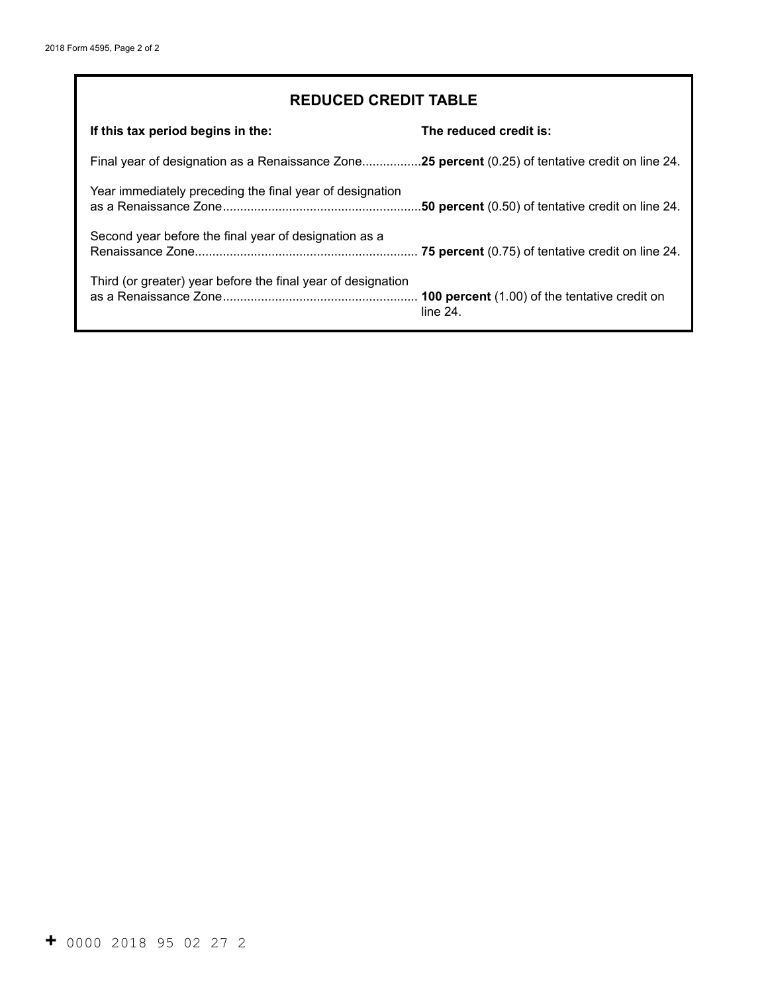## **REDUCED CREDIT TABLE**

| If this tax period begins in the:                                                                | The reduced credit is:                                       |
|--------------------------------------------------------------------------------------------------|--------------------------------------------------------------|
| Final year of designation as a Renaissance Zone25 percent (0.25) of tentative credit on line 24. |                                                              |
| Year immediately preceding the final year of designation                                         | .50 percent (0.50) of tentative credit on line 24.           |
| Second year before the final year of designation as a                                            |                                                              |
| Third (or greater) year before the final year of designation                                     | 100 percent (1.00) of the tentative credit on<br>$line 24$ . |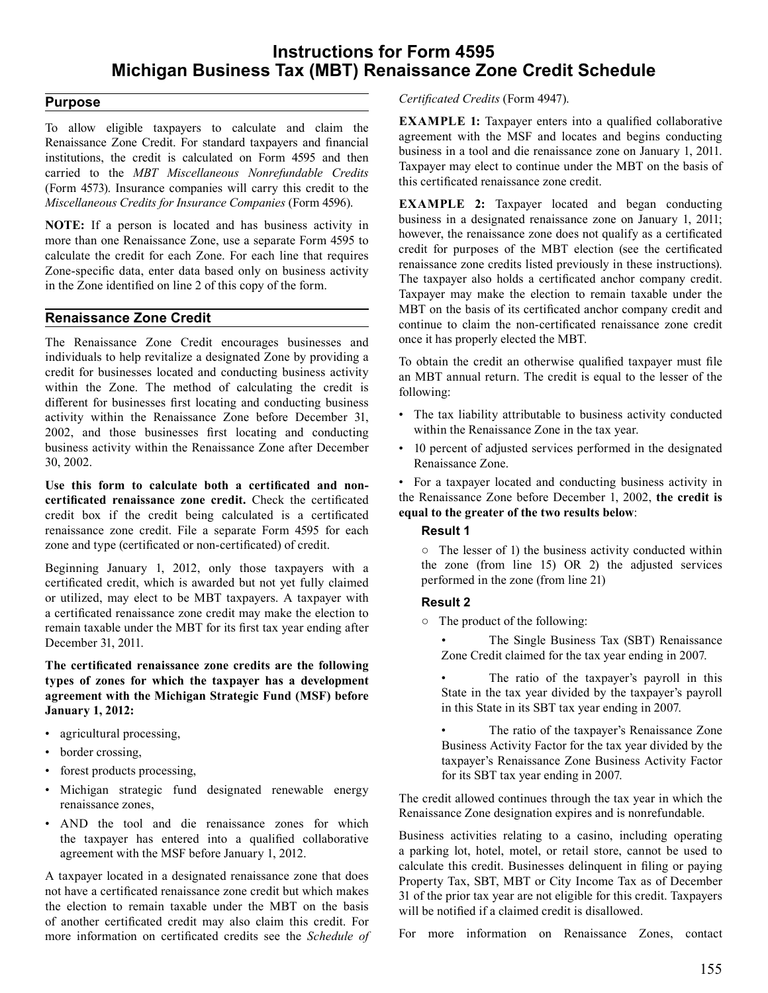### **Instructions for Form 4595 Michigan Business Tax (MBT) Renaissance Zone Credit Schedule**

#### **Purpose**

 To allow eligible taxpayers to calculate and claim the Renaissance Zone Credit. For standard taxpayers and financial institutions, the credit is calculated on Form 4595 and then carried to the *MBT Miscellaneous Nonrefundable Credits*  (Form 4573). Insurance companies will carry this credit to the *Miscellaneous Credits for Insurance Companies* (Form 4596).

 **NOTE:** If a person is located and has business activity in more than one Renaissance Zone, use a separate Form 4595 to calculate the credit for each Zone. For each line that requires Zone-specific data, enter data based only on business activity in the Zone identified on line 2 of this copy of the form.

#### **Renaissance Zone Credit**

 The Renaissance Zone Credit encourages businesses and individuals to help revitalize a designated Zone by providing a credit for businesses located and conducting business activity within the Zone. The method of calculating the credit is different for businesses first locating and conducting business activity within the Renaissance Zone before December 31, 2002, and those businesses first locating and conducting business activity within the Renaissance Zone after December 30, 2002.

 **certificated renaissance zone credit.** Check the certificated credit box if the credit being calculated is a certificated renaissance zone credit. File a separate Form 4595 for each zone and type (certificated or non-certificated) of credit. **Use this form to calculate both a certificated and non-**

 Beginning January 1, 2012, only those taxpayers with a certificated credit, which is awarded but not yet fully claimed or utilized, may elect to be MBT taxpayers. A taxpayer with a certificated renaissance zone credit may make the election to remain taxable under the MBT for its first tax year ending after December 31, 2011.

**The certificated renaissance zone credits are the following types of zones for which the taxpayer has a development agreement with the Michigan Strategic Fund (MSF) before January 1, 2012:** 

- agricultural processing,
- border crossing,
- forest products processing,
- Michigan strategic fund designated renewable energy renaissance zones,
- AND the tool and die renaissance zones for which the taxpayer has entered into a qualified collaborative agreement with the MSF before January 1, 2012.

 A taxpayer located in a designated renaissance zone that does not have a certificated renaissance zone credit but which makes the election to remain taxable under the MBT on the basis of another certificated credit may also claim this credit. For more information on certificated credits see the *Schedule of*   *Certificated Credits* (Form 4947).

 **EXAMPLE 1:** Taxpayer enters into a qualified collaborative agreement with the MSF and locates and begins conducting business in a tool and die renaissance zone on January 1, 2011. Taxpayer may elect to continue under the MBT on the basis of this certificated renaissance zone credit.

 **EXAMPLE 2:** Taxpayer located and began conducting business in a designated renaissance zone on January 1, 2011; however, the renaissance zone does not qualify as a certificated credit for purposes of the MBT election (see the certificated renaissance zone credits listed previously in these instructions). The taxpayer also holds a certificated anchor company credit. Taxpayer may make the election to remain taxable under the MBT on the basis of its certificated anchor company credit and continue to claim the non-certificated renaissance zone credit once it has properly elected the MBT.

 To obtain the credit an otherwise qualified taxpayer must file an MBT annual return. The credit is equal to the lesser of the following:

- The tax liability attributable to business activity conducted within the Renaissance Zone in the tax year.
- 10 percent of adjusted services performed in the designated Renaissance Zone.

 • For a taxpayer located and conducting business activity in the Renaissance Zone before December 1, 2002, **the credit is equal to the greater of the two results below**:

#### **Result 1**

 ○ The lesser of 1) the business activity conducted within the zone (from line 15) OR 2) the adjusted services performed in the zone (from line 21)

#### **Result 2**

 ○ The product of the following:

 • The Single Business Tax (SBT) Renaissance Zone Credit claimed for the tax year ending in 2007.

 • The ratio of the taxpayer's payroll in this State in the tax year divided by the taxpayer's payroll in this State in its SBT tax year ending in 2007.

 • The ratio of the taxpayer's Renaissance Zone Business Activity Factor for the tax year divided by the taxpayer's Renaissance Zone Business Activity Factor for its SBT tax year ending in 2007.

 The credit allowed continues through the tax year in which the Renaissance Zone designation expires and is nonrefundable.

 Business activities relating to a casino, including operating a parking lot, hotel, motel, or retail store, cannot be used to calculate this credit. Businesses delinquent in filing or paying Property Tax, SBT, MBT or City Income Tax as of December 31 of the prior tax year are not eligible for this credit. Taxpayers will be notified if a claimed credit is disallowed.

 For more information on Renaissance Zones, contact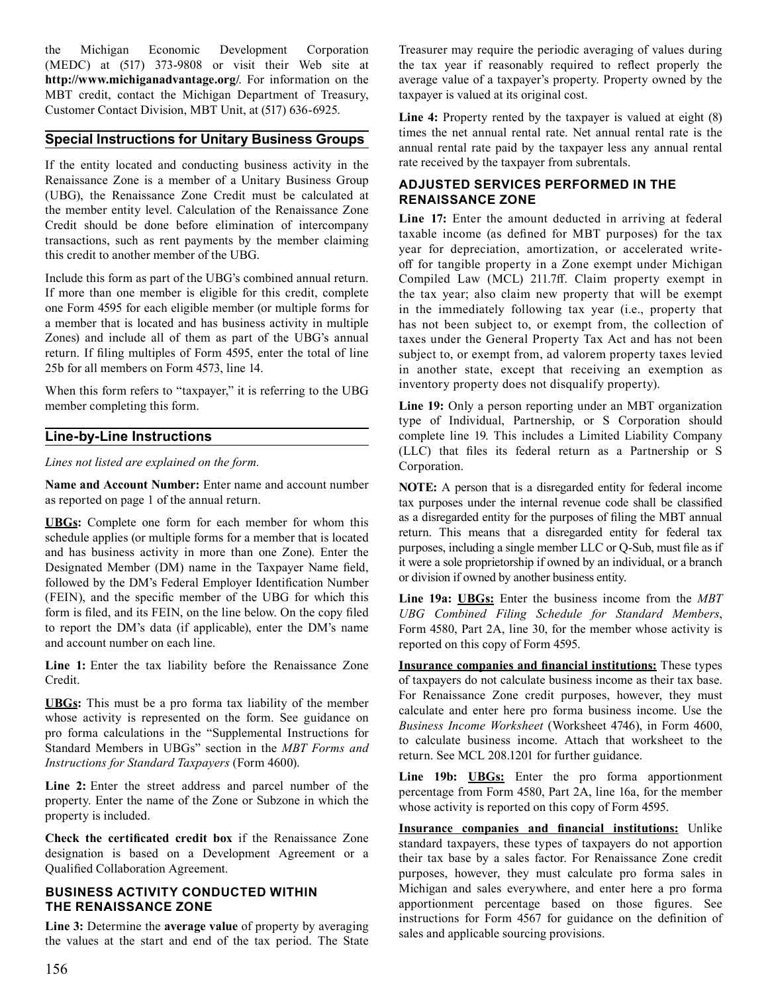(MEDC) at (517) 373-9808 or visit their Web site at **http://www.michiganadvantage.org/**. For information on the MBT credit, contact the Michigan Department of Treasury, Customer Contact Division, MBT Unit, at (517) 636-6925. the Michigan Economic Development Corporation

#### **Special Instructions for Unitary Business Groups**

 If the entity located and conducting business activity in the Renaissance Zone is a member of a Unitary Business Group (UBG), the Renaissance Zone Credit must be calculated at the member entity level. Calculation of the Renaissance Zone Credit should be done before elimination of intercompany transactions, such as rent payments by the member claiming this credit to another member of the UBG.

 Include this form as part of the UBG's combined annual return. If more than one member is eligible for this credit, complete one Form 4595 for each eligible member (or multiple forms for a member that is located and has business activity in multiple Zones) and include all of them as part of the UBG's annual return. If filing multiples of Form 4595, enter the total of line 25b for all members on Form 4573, line 14.

 When this form refers to "taxpayer," it is referring to the UBG member completing this form.

#### **Line-by-Line Instructions**

*Lines not listed are explained on the form.* 

 **Name and Account Number:** Enter name and account number as reported on page 1 of the annual return.

 **UBGs:** Complete one form for each member for whom this schedule applies (or multiple forms for a member that is located and has business activity in more than one Zone). Enter the Designated Member (DM) name in the Taxpayer Name field, followed by the DM's Federal Employer Identification Number (FEIN), and the specific member of the UBG for which this form is filed, and its FEIN, on the line below. On the copy filed to report the DM's data (if applicable), enter the DM's name and account number on each line.

 **Line 1:** Enter the tax liability before the Renaissance Zone Credit.

 **UBGs:** This must be a pro forma tax liability of the member whose activity is represented on the form. See guidance on pro forma calculations in the "Supplemental Instructions for Standard Members in UBGs" section in the *MBT Forms and Instructions for Standard Taxpayers* (Form 4600).

 **Line 2:** Enter the street address and parcel number of the property. Enter the name of the Zone or Subzone in which the property is included.

 **Check the certificated credit box** if the Renaissance Zone designation is based on a Development Agreement or a Qualified Collaboration Agreement.

#### **BUSINESS ACTIVITY CONDUCTED WITHIN THE RENAISSANCE ZONE**

 **Line 3:** Determine the **average value** of property by averaging the values at the start and end of the tax period. The State  Treasurer may require the periodic averaging of values during the tax year if reasonably required to reflect properly the average value of a taxpayer's property. Property owned by the taxpayer is valued at its original cost.

 **Line 4:** Property rented by the taxpayer is valued at eight (8) times the net annual rental rate. Net annual rental rate is the annual rental rate paid by the taxpayer less any annual rental rate received by the taxpayer from subrentals.

#### **ADJUSTED SERVICES PERFORMED IN THE RENAISSANCE ZONE**

 **Line 17:** Enter the amount deducted in arriving at federal taxable income (as defined for MBT purposes) for the tax year for depreciation, amortization, or accelerated write- off for tangible property in a Zone exempt under Michigan Compiled Law (MCL) 211.7ff. Claim property exempt in the tax year; also claim new property that will be exempt in the immediately following tax year (i.e., property that has not been subject to, or exempt from, the collection of taxes under the General Property Tax Act and has not been subject to, or exempt from, ad valorem property taxes levied in another state, except that receiving an exemption as inventory property does not disqualify property).

 **Line 19:** Only a person reporting under an MBT organization type of Individual, Partnership, or S Corporation should complete line 19. This includes a Limited Liability Company (LLC) that files its federal return as a Partnership or S Corporation.

 **NOTE:** A person that is a disregarded entity for federal income tax purposes under the internal revenue code shall be classified as a disregarded entity for the purposes of filing the MBT annual return. This means that a disregarded entity for federal tax purposes, including a single member LLC or Q-Sub, must file as if it were a sole proprietorship if owned by an individual, or a branch or division if owned by another business entity.

 **Line 19a: UBGs:** Enter the business income from the *MBT*  Form 4580, Part 2A, line 30, for the member whose activity is reported on this copy of Form 4595. *UBG Combined Filing Schedule for Standard Members*,

**Insurance companies and financial institutions:** These types of taxpayers do not calculate business income as their tax base. For Renaissance Zone credit purposes, however, they must calculate and enter here pro forma business income. Use the *Business Income Worksheet* (Worksheet 4746), in Form 4600, to calculate business income. Attach that worksheet to the return. See MCL 208.1201 for further guidance.

 **Line 19b: UBGs:** Enter the pro forma apportionment percentage from Form 4580, Part 2A, line 16a, for the member whose activity is reported on this copy of Form 4595.

**Insurance companies and financial institutions:** Unlike standard taxpayers, these types of taxpayers do not apportion their tax base by a sales factor. For Renaissance Zone credit purposes, however, they must calculate pro forma sales in Michigan and sales everywhere, and enter here a pro forma apportionment percentage based on those figures. See instructions for Form 4567 for guidance on the definition of sales and applicable sourcing provisions.